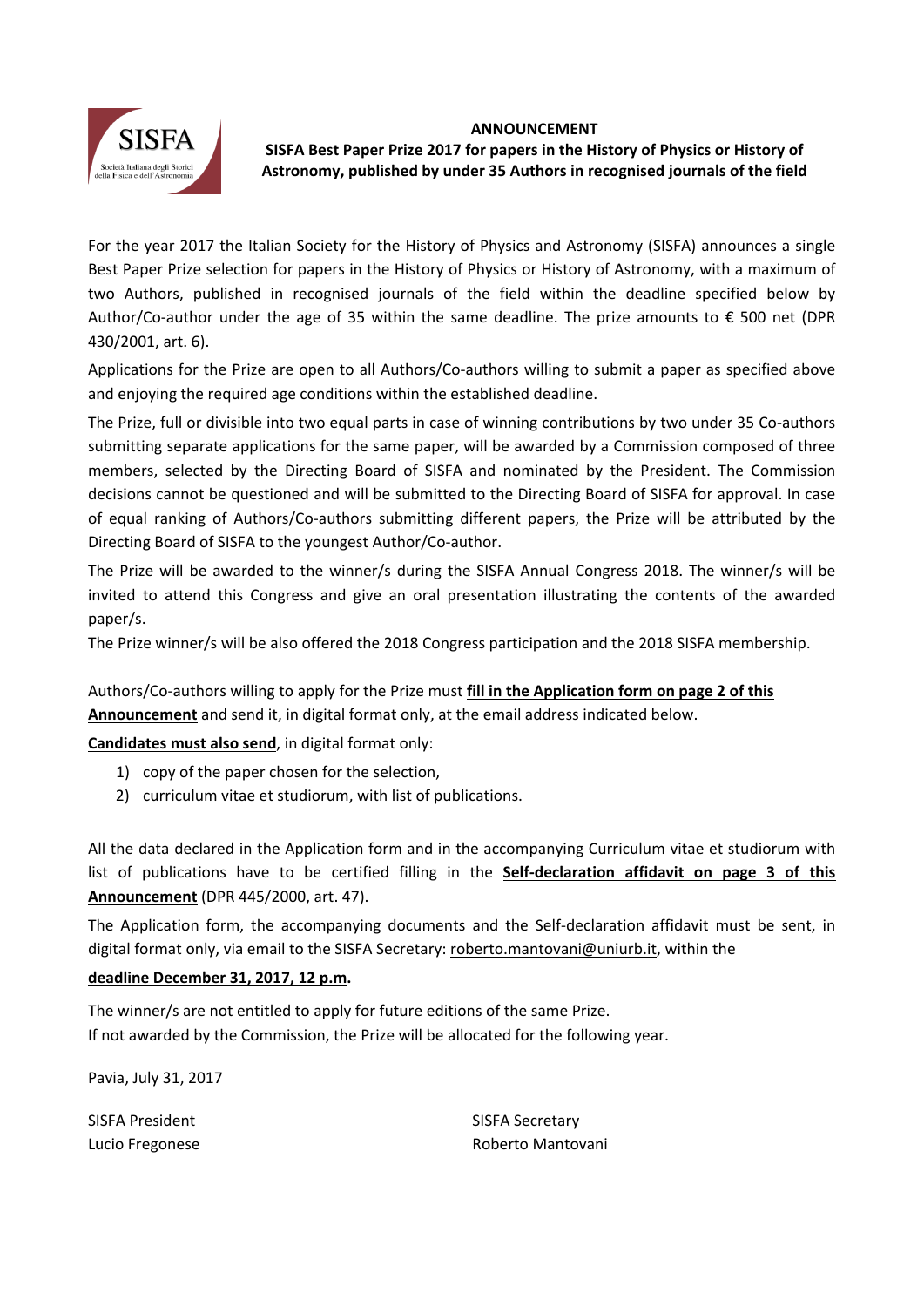



# **SISFA Best Paper Prize 2017 for papers in the History of Physics or History of Astronomy, published by under 35 Authors in recognised journals of the field**

For the year 2017 the Italian Society for the History of Physics and Astronomy (SISFA) announces a single Best Paper Prize selection for papers in the History of Physics or History of Astronomy, with a maximum of two Authors, published in recognised journals of the field within the deadline specified below by Author/Co-author under the age of 35 within the same deadline. The prize amounts to  $\epsilon$  500 net (DPR 430/2001, art. 6).

Applications for the Prize are open to all Authors/Co-authors willing to submit a paper as specified above and enjoying the required age conditions within the established deadline.

The Prize, full or divisible into two equal parts in case of winning contributions by two under 35 Co-authors submitting separate applications for the same paper, will be awarded by a Commission composed of three members, selected by the Directing Board of SISFA and nominated by the President. The Commission decisions cannot be questioned and will be submitted to the Directing Board of SISFA for approval. In case of equal ranking of Authors/Co-authors submitting different papers, the Prize will be attributed by the Directing Board of SISFA to the youngest Author/Co‐author.

The Prize will be awarded to the winner/s during the SISFA Annual Congress 2018. The winner/s will be invited to attend this Congress and give an oral presentation illustrating the contents of the awarded paper/s.

The Prize winner/s will be also offered the 2018 Congress participation and the 2018 SISFA membership.

Authors/Co‐authors willing to apply for the Prize must **fill in the Application form on page 2 of this Announcement** and send it, in digital format only, at the email address indicated below.

**Candidates must also send**, in digital format only:

- 1) copy of the paper chosen for the selection,
- 2) curriculum vitae et studiorum, with list of publications.

All the data declared in the Application form and in the accompanying Curriculum vitae et studiorum with list of publications have to be certified filling in the **Self‐declaration affidavit on page 3 of this Announcement** (DPR 445/2000, art. 47).

The Application form, the accompanying documents and the Self-declaration affidavit must be sent, in digital format only, via email to the SISFA Secretary: roberto.mantovani@uniurb.it, within the

## **deadline December 31, 2017, 12 p.m.**

The winner/s are not entitled to apply for future editions of the same Prize. If not awarded by the Commission, the Prize will be allocated for the following year.

Pavia, July 31, 2017

| SISFA President | <b>SISFA Secretary</b> |
|-----------------|------------------------|
| Lucio Fregonese | Roberto Mantovani      |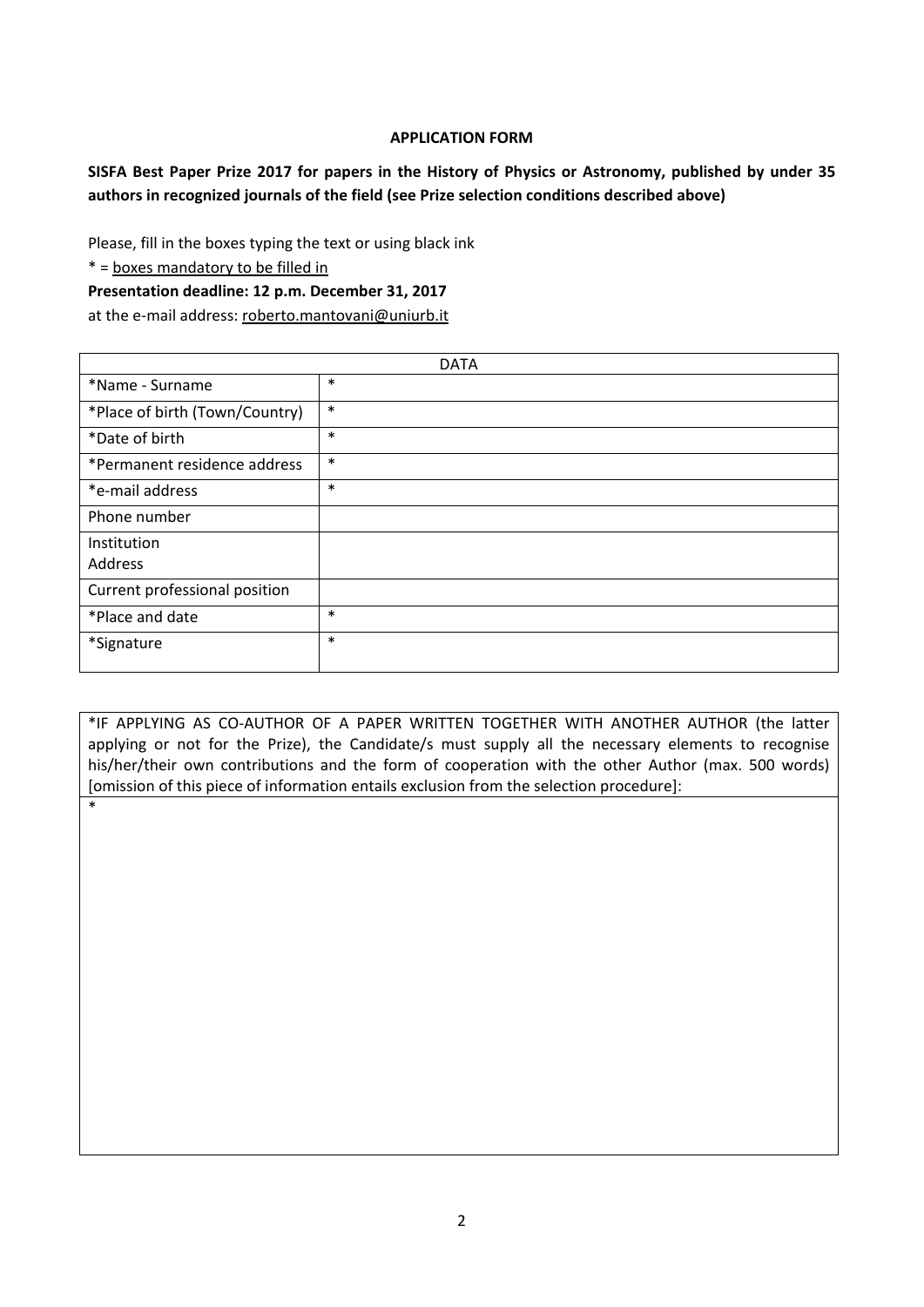### **APPLICATION FORM**

**SISFA Best Paper Prize 2017 for papers in the History of Physics or Astronomy, published by under 35 authors in recognized journals of the field (see Prize selection conditions described above)** 

Please, fill in the boxes typing the text or using black ink

\* = boxes mandatory to be filled in

\*

#### **Presentation deadline: 12 p.m. December 31, 2017**

at the e-mail address: roberto.mantovani@uniurb.it

| <b>DATA</b>                    |        |  |  |  |  |
|--------------------------------|--------|--|--|--|--|
| *Name - Surname                | $\ast$ |  |  |  |  |
| *Place of birth (Town/Country) | $\ast$ |  |  |  |  |
| *Date of birth                 | $\ast$ |  |  |  |  |
| *Permanent residence address   | $\ast$ |  |  |  |  |
| *e-mail address                | $\ast$ |  |  |  |  |
| Phone number                   |        |  |  |  |  |
| Institution                    |        |  |  |  |  |
| Address                        |        |  |  |  |  |
| Current professional position  |        |  |  |  |  |
| *Place and date                | $\ast$ |  |  |  |  |
| *Signature                     | $\ast$ |  |  |  |  |

\*IF APPLYING AS CO‐AUTHOR OF A PAPER WRITTEN TOGETHER WITH ANOTHER AUTHOR (the latter applying or not for the Prize), the Candidate/s must supply all the necessary elements to recognise his/her/their own contributions and the form of cooperation with the other Author (max. 500 words) [omission of this piece of information entails exclusion from the selection procedure]: